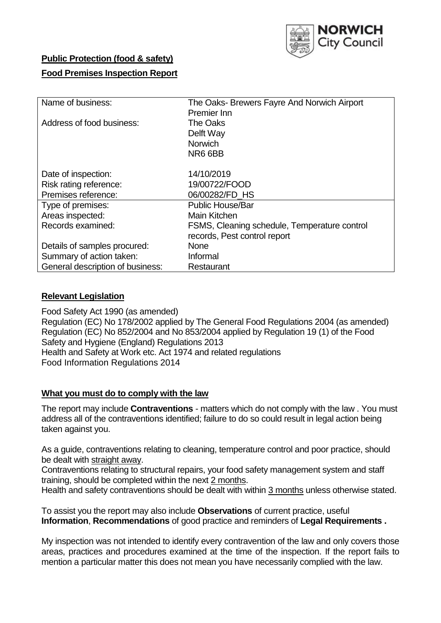

# **Public Protection (food & safety) Food Premises Inspection Report**

| The Oaks-Brewers Fayre And Norwich Airport   |
|----------------------------------------------|
| Premier Inn                                  |
| The Oaks                                     |
| Delft Way                                    |
| <b>Norwich</b>                               |
| NR6 6BB                                      |
|                                              |
| 14/10/2019                                   |
| 19/00722/FOOD                                |
| 06/00282/FD_HS                               |
| <b>Public House/Bar</b>                      |
| Main Kitchen                                 |
| FSMS, Cleaning schedule, Temperature control |
| records, Pest control report                 |
| None                                         |
| Informal                                     |
| Restaurant                                   |
|                                              |

### **Relevant Legislation**

Food Safety Act 1990 (as amended) Regulation (EC) No 178/2002 applied by The General Food Regulations 2004 (as amended) Regulation (EC) No 852/2004 and No 853/2004 applied by Regulation 19 (1) of the Food Safety and Hygiene (England) Regulations 2013 Health and Safety at Work etc. Act 1974 and related regulations Food Information Regulations 2014

### **What you must do to comply with the law**

The report may include **Contraventions** - matters which do not comply with the law . You must address all of the contraventions identified; failure to do so could result in legal action being taken against you.

As a guide, contraventions relating to cleaning, temperature control and poor practice, should be dealt with straight away.

Contraventions relating to structural repairs, your food safety management system and staff training, should be completed within the next 2 months.

Health and safety contraventions should be dealt with within 3 months unless otherwise stated.

To assist you the report may also include **Observations** of current practice, useful **Information**, **Recommendations** of good practice and reminders of **Legal Requirements .**

My inspection was not intended to identify every contravention of the law and only covers those areas, practices and procedures examined at the time of the inspection. If the report fails to mention a particular matter this does not mean you have necessarily complied with the law.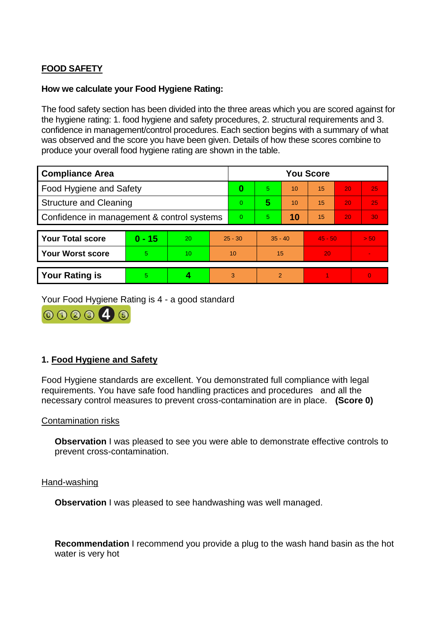# **FOOD SAFETY**

### **How we calculate your Food Hygiene Rating:**

The food safety section has been divided into the three areas which you are scored against for the hygiene rating: 1. food hygiene and safety procedures, 2. structural requirements and 3. confidence in management/control procedures. Each section begins with a summary of what was observed and the score you have been given. Details of how these scores combine to produce your overall food hygiene rating are shown in the table.

| <b>Compliance Area</b>                     |          |    |           | <b>You Score</b> |               |    |           |    |          |  |
|--------------------------------------------|----------|----|-----------|------------------|---------------|----|-----------|----|----------|--|
| Food Hygiene and Safety                    |          |    |           | 0                | 5             | 10 | 15        | 20 | 25       |  |
| <b>Structure and Cleaning</b>              |          |    |           | $\Omega$         | 5             | 10 | 15        | 20 | 25       |  |
| Confidence in management & control systems |          |    |           | $\Omega$         | 5             | 10 | 15        | 20 | 30       |  |
|                                            |          |    |           |                  |               |    |           |    |          |  |
| <b>Your Total score</b>                    | $0 - 15$ | 20 | $25 - 30$ |                  | $35 - 40$     |    | $45 - 50$ |    | > 50     |  |
| <b>Your Worst score</b>                    | 5        | 10 | 10        |                  | 15            |    | 20        |    |          |  |
|                                            |          |    |           |                  |               |    |           |    |          |  |
| <b>Your Rating is</b>                      | 5        |    | 3         |                  | $\mathcal{P}$ |    |           |    | $\Omega$ |  |

Your Food Hygiene Rating is 4 - a good standard



## **1. Food Hygiene and Safety**

Food Hygiene standards are excellent. You demonstrated full compliance with legal requirements. You have safe food handling practices and procedures and all the necessary control measures to prevent cross-contamination are in place. **(Score 0)**

#### Contamination risks

**Observation** I was pleased to see you were able to demonstrate effective controls to prevent cross-contamination.

#### Hand-washing

**Observation I** was pleased to see handwashing was well managed.

**Recommendation** I recommend you provide a plug to the wash hand basin as the hot water is very hot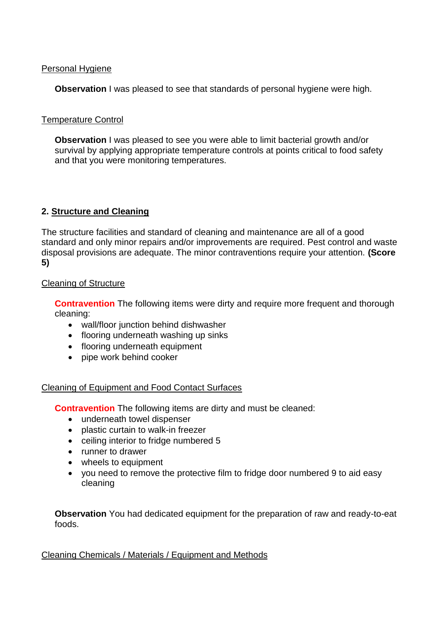## Personal Hygiene

**Observation** I was pleased to see that standards of personal hygiene were high.

## Temperature Control

**Observation** I was pleased to see you were able to limit bacterial growth and/or survival by applying appropriate temperature controls at points critical to food safety and that you were monitoring temperatures.

# **2. Structure and Cleaning**

The structure facilities and standard of cleaning and maintenance are all of a good standard and only minor repairs and/or improvements are required. Pest control and waste disposal provisions are adequate. The minor contraventions require your attention. **(Score 5)**

## Cleaning of Structure

**Contravention** The following items were dirty and require more frequent and thorough cleaning:

- wall/floor junction behind dishwasher
- flooring underneath washing up sinks
- flooring underneath equipment
- pipe work behind cooker

## Cleaning of Equipment and Food Contact Surfaces

**Contravention** The following items are dirty and must be cleaned:

- underneath towel dispenser
- plastic curtain to walk-in freezer
- ceiling interior to fridge numbered 5
- runner to drawer
- wheels to equipment
- you need to remove the protective film to fridge door numbered 9 to aid easy cleaning

**Observation** You had dedicated equipment for the preparation of raw and ready-to-eat foods.

### Cleaning Chemicals / Materials / Equipment and Methods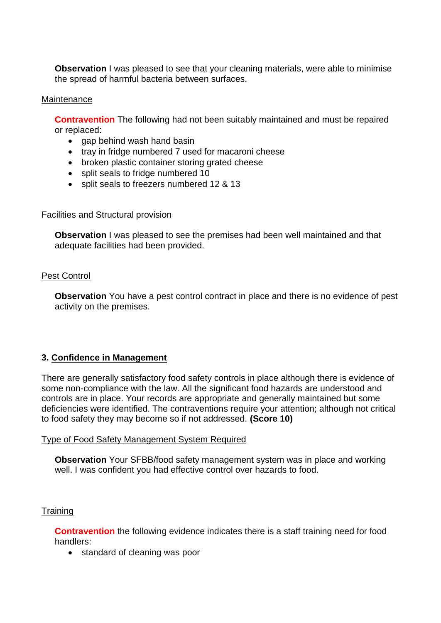**Observation** I was pleased to see that your cleaning materials, were able to minimise the spread of harmful bacteria between surfaces.

#### Maintenance

**Contravention** The following had not been suitably maintained and must be repaired or replaced:

- gap behind wash hand basin
- tray in fridge numbered 7 used for macaroni cheese
- broken plastic container storing grated cheese
- split seals to fridge numbered 10
- split seals to freezers numbered 12 & 13

#### Facilities and Structural provision

**Observation** I was pleased to see the premises had been well maintained and that adequate facilities had been provided.

### Pest Control

**Observation** You have a pest control contract in place and there is no evidence of pest activity on the premises.

## **3. Confidence in Management**

There are generally satisfactory food safety controls in place although there is evidence of some non-compliance with the law. All the significant food hazards are understood and controls are in place. Your records are appropriate and generally maintained but some deficiencies were identified. The contraventions require your attention; although not critical to food safety they may become so if not addressed. **(Score 10)**

### Type of Food Safety Management System Required

**Observation** Your SFBB/food safety management system was in place and working well. I was confident you had effective control over hazards to food.

### **Training**

**Contravention** the following evidence indicates there is a staff training need for food handlers:

• standard of cleaning was poor